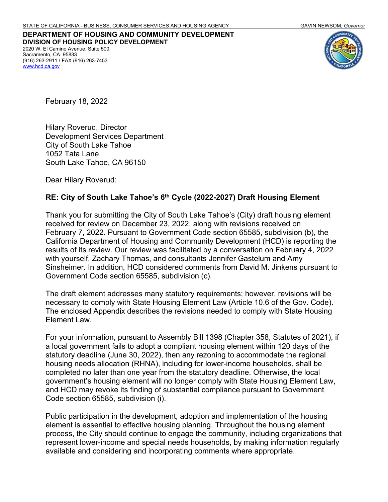**DEPARTMENT OF HOUSING AND COMMUNITY DEVELOPMENT DIVISION OF HOUSING POLICY DEVELOPMENT** 2020 W. El Camino Avenue, Suite 500 Sacramento, CA 95833 (916) 263-2911 / FAX (916) 263-7453 [www.hcd.ca.gov](http://www.hcd.ca.gov/)



February 18, 2022

Hilary Roverud, Director Development Services Department City of South Lake Tahoe 1052 Tata Lane South Lake Tahoe, CA 96150

Dear Hilary Roverud:

### **RE: City of South Lake Tahoe's 6th Cycle (2022-2027) Draft Housing Element**

Thank you for submitting the City of South Lake Tahoe's (City) draft housing element received for review on December 23, 2022, along with revisions received on February 7, 2022. Pursuant to Government Code section 65585, subdivision (b), the California Department of Housing and Community Development (HCD) is reporting the results of its review. Our review was facilitated by a conversation on February 4, 2022 with yourself, Zachary Thomas, and consultants Jennifer Gastelum and Amy Sinsheimer. In addition, HCD considered comments from David M. Jinkens pursuant to Government Code section 65585, subdivision (c).

The draft element addresses many statutory requirements; however, revisions will be necessary to comply with State Housing Element Law (Article 10.6 of the Gov. Code). The enclosed Appendix describes the revisions needed to comply with State Housing Element Law.

For your information, pursuant to Assembly Bill 1398 (Chapter 358, Statutes of 2021), if a local government fails to adopt a compliant housing element within 120 days of the statutory deadline (June 30, 2022), then any rezoning to accommodate the regional housing needs allocation (RHNA), including for lower-income households, shall be completed no later than one year from the statutory deadline. Otherwise, the local government's housing element will no longer comply with State Housing Element Law, and HCD may revoke its finding of substantial compliance pursuant to Government Code section 65585, subdivision (i).

Public participation in the development, adoption and implementation of the housing element is essential to effective housing planning. Throughout the housing element process, the City should continue to engage the community, including organizations that represent lower-income and special needs households, by making information regularly available and considering and incorporating comments where appropriate.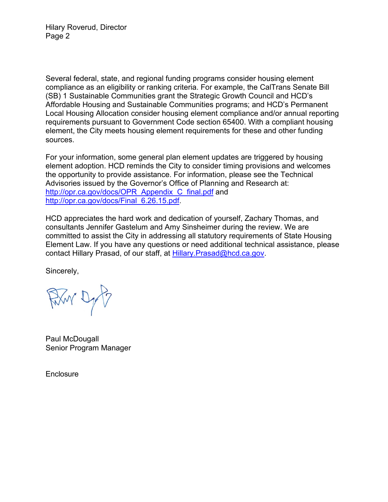Hilary Roverud, Director Page 2

Several federal, state, and regional funding programs consider housing element compliance as an eligibility or ranking criteria. For example, the CalTrans Senate Bill (SB) 1 Sustainable Communities grant the Strategic Growth Council and HCD's Affordable Housing and Sustainable Communities programs; and HCD's Permanent Local Housing Allocation consider housing element compliance and/or annual reporting requirements pursuant to Government Code section 65400. With a compliant housing element, the City meets housing element requirements for these and other funding sources.

For your information, some general plan element updates are triggered by housing element adoption. HCD reminds the City to consider timing provisions and welcomes the opportunity to provide assistance. For information, please see the Technical Advisories issued by the Governor's Office of Planning and Research at: [http://opr.ca.gov/docs/OPR\\_Appendix\\_C\\_final.pdf](http://opr.ca.gov/docs/OPR_Appendix_C_final.pdf) and [http://opr.ca.gov/docs/Final\\_6.26.15.pdf.](http://opr.ca.gov/docs/Final_6.26.15.pdf)

HCD appreciates the hard work and dedication of yourself, Zachary Thomas, and consultants Jennifer Gastelum and Amy Sinsheimer during the review. We are committed to assist the City in addressing all statutory requirements of State Housing Element Law. If you have any questions or need additional technical assistance, please contact Hillary Prasad, of our staff, at Hillary. Prasad@hcd.ca.gov.

Sincerely,

Fixy Dy

Paul McDougall Senior Program Manager

**Enclosure**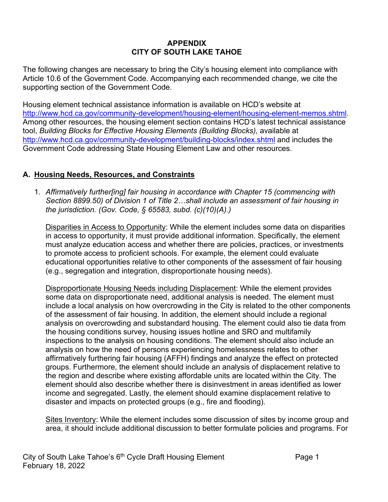## **APPENDIX CITY OF SOUTH LAKE TAHOE**

The following changes are necessary to bring the City's housing element into compliance with Article 10.6 of the Government Code. Accompanying each recommended change, we cite the supporting section of the Government Code.

Housing element technical assistance information is available on HCD's website at [http://www.hcd.ca.gov/community-development/housing-element/housing-element-memos.shtml.](http://www.hcd.ca.gov/community-development/housing-element/housing-element-memos.shtml) Among other resources, the housing element section contains HCD's latest technical assistance tool, *Building Blocks for Effective Housing Elements (Building Blocks),* available at <http://www.hcd.ca.gov/community-development/building-blocks/index.shtml> and includes the Government Code addressing State Housing Element Law and other resources.

## **A. Housing Needs, Resources, and Constraints**

1. *Affirmatively further[ing] fair housing in accordance with Chapter 15 (commencing with Section 8899.50) of Division 1 of Title 2…shall include an assessment of fair housing in the jurisdiction. (Gov. Code, § 65583, subd. (c)(10)(A).)*

Disparities in Access to Opportunity: While the element includes some data on disparities in access to opportunity, it must provide additional information. Specifically, the element must analyze education access and whether there are policies, practices, or investments to promote access to proficient schools. For example, the element could evaluate educational opportunities relative to other components of the assessment of fair housing (e.g., segregation and integration, disproportionate housing needs).

Disproportionate Housing Needs including Displacement: While the element provides some data on disproportionate need, additional analysis is needed. The element must include a local analysis on how overcrowding in the City is related to the other components of the assessment of fair housing. In addition, the element should include a regional analysis on overcrowding and substandard housing. The element could also tie data from the housing conditions survey, housing issues hotline and SRO and multifamily inspections to the analysis on housing conditions. The element should also include an analysis on how the need of persons experiencing homelessness relates to other affirmatively furthering fair housing (AFFH) findings and analyze the effect on protected groups. Furthermore, the element should include an analysis of displacement relative to the region and describe where existing affordable units are located within the City. The element should also describe whether there is disinvestment in areas identified as lower income and segregated. Lastly, the element should examine displacement relative to disaster and impacts on protected groups (e.g., fire and flooding).

Sites Inventory: While the element includes some discussion of sites by income group and area, it should include additional discussion to better formulate policies and programs. For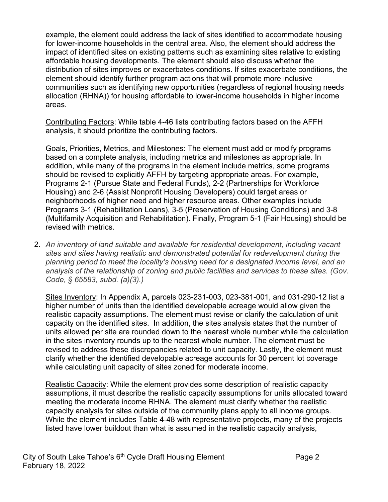example, the element could address the lack of sites identified to accommodate housing for lower-income households in the central area. Also, the element should address the impact of identified sites on existing patterns such as examining sites relative to existing affordable housing developments. The element should also discuss whether the distribution of sites improves or exacerbates conditions. If sites exacerbate conditions, the element should identify further program actions that will promote more inclusive communities such as identifying new opportunities (regardless of regional housing needs allocation (RHNA)) for housing affordable to lower-income households in higher income areas.

Contributing Factors: While table 4-46 lists contributing factors based on the AFFH analysis, it should prioritize the contributing factors.

Goals, Priorities, Metrics, and Milestones: The element must add or modify programs based on a complete analysis, including metrics and milestones as appropriate. In addition, while many of the programs in the element include metrics, some programs should be revised to explicitly AFFH by targeting appropriate areas. For example, Programs 2-1 (Pursue State and Federal Funds), 2-2 (Partnerships for Workforce Housing) and 2-6 (Assist Nonprofit Housing Developers) could target areas or neighborhoods of higher need and higher resource areas. Other examples include Programs 3-1 (Rehabilitation Loans), 3-5 (Preservation of Housing Conditions) and 3-8 (Multifamily Acquisition and Rehabilitation). Finally, Program 5-1 (Fair Housing) should be revised with metrics.

2. *An inventory of land suitable and available for residential development, including vacant sites and sites having realistic and demonstrated potential for redevelopment during the planning period to meet the locality's housing need for a designated income level, and an analysis of the relationship of zoning and public facilities and services to these sites. (Gov. Code, § 65583, subd. (a)(3).)*

Sites Inventory: In Appendix A, parcels 023-231-003, 023-381-001, and 031-290-12 list a higher number of units than the identified developable acreage would allow given the realistic capacity assumptions. The element must revise or clarify the calculation of unit capacity on the identified sites. In addition, the sites analysis states that the number of units allowed per site are rounded down to the nearest whole number while the calculation in the sites inventory rounds up to the nearest whole number. The element must be revised to address these discrepancies related to unit capacity. Lastly, the element must clarify whether the identified developable acreage accounts for 30 percent lot coverage while calculating unit capacity of sites zoned for moderate income.

Realistic Capacity: While the element provides some description of realistic capacity assumptions, it must describe the realistic capacity assumptions for units allocated toward meeting the moderate income RHNA. The element must clarify whether the realistic capacity analysis for sites outside of the community plans apply to all income groups. While the element includes Table 4-48 with representative projects, many of the projects listed have lower buildout than what is assumed in the realistic capacity analysis,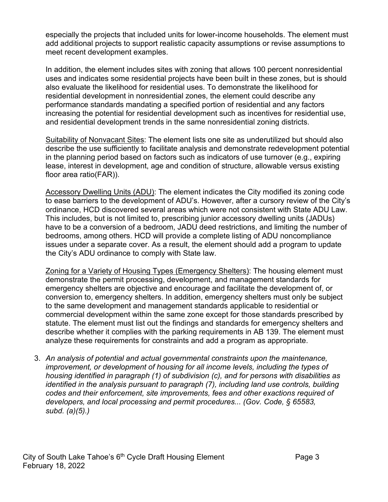especially the projects that included units for lower-income households. The element must add additional projects to support realistic capacity assumptions or revise assumptions to meet recent development examples.

In addition, the element includes sites with zoning that allows 100 percent nonresidential uses and indicates some residential projects have been built in these zones, but is should also evaluate the likelihood for residential uses. To demonstrate the likelihood for residential development in nonresidential zones, the element could describe any performance standards mandating a specified portion of residential and any factors increasing the potential for residential development such as incentives for residential use, and residential development trends in the same nonresidential zoning districts.

Suitability of Nonvacant Sites: The element lists one site as underutilized but should also describe the use sufficiently to facilitate analysis and demonstrate redevelopment potential in the planning period based on factors such as indicators of use turnover (e.g., expiring lease, interest in development, age and condition of structure, allowable versus existing floor area ratio(FAR)).

Accessory Dwelling Units (ADU): The element indicates the City modified its zoning code to ease barriers to the development of ADU's. However, after a cursory review of the City's ordinance, HCD discovered several areas which were not consistent with State ADU Law. This includes, but is not limited to, prescribing junior accessory dwelling units (JADUs) have to be a conversion of a bedroom, JADU deed restrictions, and limiting the number of bedrooms, among others. HCD will provide a complete listing of ADU noncompliance issues under a separate cover. As a result, the element should add a program to update the City's ADU ordinance to comply with State law.

Zoning for a Variety of Housing Types (Emergency Shelters): The housing element must demonstrate the permit processing, development, and management standards for emergency shelters are objective and encourage and facilitate the development of, or conversion to, emergency shelters. In addition, emergency shelters must only be subject to the same development and management standards applicable to residential or commercial development within the same zone except for those standards prescribed by statute. The element must list out the findings and standards for emergency shelters and describe whether it complies with the parking requirements in AB 139. The element must analyze these requirements for constraints and add a program as appropriate.

3. *An analysis of potential and actual governmental constraints upon the maintenance, improvement, or development of housing for all income levels, including the types of housing identified in paragraph (1) of subdivision (c), and for persons with disabilities as identified in the analysis pursuant to paragraph (7), including land use controls, building codes and their enforcement, site improvements, fees and other exactions required of developers, and local processing and permit procedures... (Gov. Code, § 65583, subd. (a)(5).)*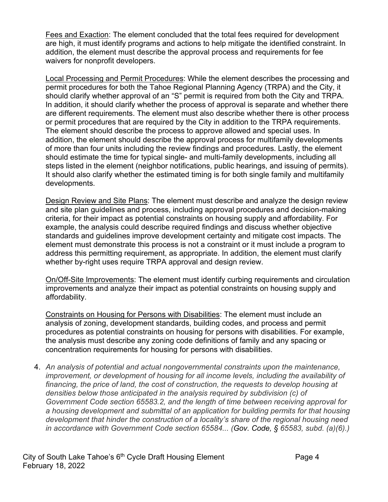Fees and Exaction: The element concluded that the total fees required for development are high, it must identify programs and actions to help mitigate the identified constraint. In addition, the element must describe the approval process and requirements for fee waivers for nonprofit developers.

Local Processing and Permit Procedures: While the element describes the processing and permit procedures for both the Tahoe Regional Planning Agency (TRPA) and the City, it should clarify whether approval of an "S" permit is required from both the City and TRPA. In addition, it should clarify whether the process of approval is separate and whether there are different requirements. The element must also describe whether there is other process or permit procedures that are required by the City in addition to the TRPA requirements. The element should describe the process to approve allowed and special uses. In addition, the element should describe the approval process for multifamily developments of more than four units including the review findings and procedures. Lastly, the element should estimate the time for typical single- and multi-family developments, including all steps listed in the element (neighbor notifications, public hearings, and issuing of permits). It should also clarify whether the estimated timing is for both single family and multifamily developments.

Design Review and Site Plans: The element must describe and analyze the design review and site plan guidelines and process, including approval procedures and decision-making criteria, for their impact as potential constraints on housing supply and affordability. For example, the analysis could describe required findings and discuss whether objective standards and guidelines improve development certainty and mitigate cost impacts. The element must demonstrate this process is not a constraint or it must include a program to address this permitting requirement, as appropriate. In addition, the element must clarify whether by-right uses require TRPA approval and design review.

On/Off-Site Improvements: The element must identify curbing requirements and circulation improvements and analyze their impact as potential constraints on housing supply and affordability.

Constraints on Housing for Persons with Disabilities: The element must include an analysis of zoning, development standards, building codes, and process and permit procedures as potential constraints on housing for persons with disabilities. For example, the analysis must describe any zoning code definitions of family and any spacing or concentration requirements for housing for persons with disabilities.

4. *An analysis of potential and actual nongovernmental constraints upon the maintenance, improvement, or development of housing for all income levels, including the availability of financing, the price of land, the cost of construction, the requests to develop housing at densities below those anticipated in the analysis required by subdivision (c) of Government Code section 65583.2, and the length of time between receiving approval for a housing development and submittal of an application for building permits for that housing development that hinder the construction of a locality's share of the regional housing need in accordance with Government Code section 65584... (Gov. Code, § 65583, subd. (a)(6).)*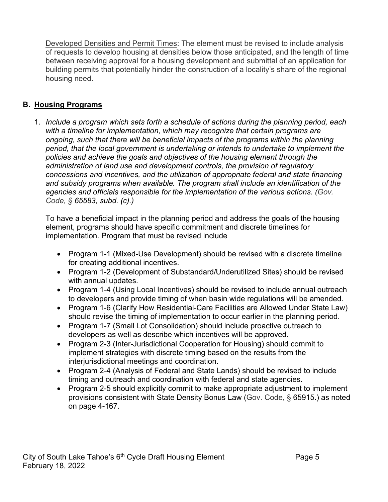Developed Densities and Permit Times: The element must be revised to include analysis of requests to develop housing at densities below those anticipated, and the length of time between receiving approval for a housing development and submittal of an application for building permits that potentially hinder the construction of a locality's share of the regional housing need.

# **B. Housing Programs**

1. *Include a program which sets forth a schedule of actions during the planning period, each with a timeline for implementation, which may recognize that certain programs are ongoing, such that there will be beneficial impacts of the programs within the planning period, that the local government is undertaking or intends to undertake to implement the policies and achieve the goals and objectives of the housing element through the administration of land use and development controls, the provision of regulatory concessions and incentives, and the utilization of appropriate federal and state financing and subsidy programs when available. The program shall include an identification of the agencies and officials responsible for the implementation of the various actions. (Gov. Code, § 65583, subd. (c).)*

To have a beneficial impact in the planning period and address the goals of the housing element, programs should have specific commitment and discrete timelines for implementation. Program that must be revised include

- Program 1-1 (Mixed-Use Development) should be revised with a discrete timeline for creating additional incentives.
- Program 1-2 (Development of Substandard/Underutilized Sites) should be revised with annual updates.
- Program 1-4 (Using Local Incentives) should be revised to include annual outreach to developers and provide timing of when basin wide regulations will be amended.
- Program 1-6 (Clarify How Residential-Care Facilities are Allowed Under State Law) should revise the timing of implementation to occur earlier in the planning period.
- Program 1-7 (Small Lot Consolidation) should include proactive outreach to developers as well as describe which incentives will be approved.
- Program 2-3 (Inter-Jurisdictional Cooperation for Housing) should commit to implement strategies with discrete timing based on the results from the interjurisdictional meetings and coordination.
- Program 2-4 (Analysis of Federal and State Lands) should be revised to include timing and outreach and coordination with federal and state agencies.
- Program 2-5 should explicitly commit to make appropriate adjustment to implement provisions consistent with State Density Bonus Law (Gov. Code, § 65915.) as noted on page 4-167.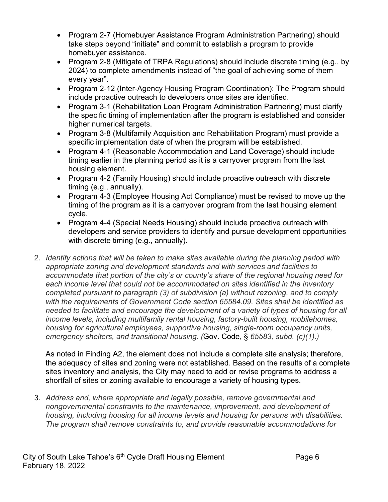- Program 2-7 (Homebuyer Assistance Program Administration Partnering) should take steps beyond "initiate" and commit to establish a program to provide homebuyer assistance.
- Program 2-8 (Mitigate of TRPA Regulations) should include discrete timing (e.g., by 2024) to complete amendments instead of "the goal of achieving some of them every year".
- Program 2-12 (Inter-Agency Housing Program Coordination): The Program should include proactive outreach to developers once sites are identified.
- Program 3-1 (Rehabilitation Loan Program Administration Partnering) must clarify the specific timing of implementation after the program is established and consider higher numerical targets.
- Program 3-8 (Multifamily Acquisition and Rehabilitation Program) must provide a specific implementation date of when the program will be established.
- Program 4-1 (Reasonable Accommodation and Land Coverage) should include timing earlier in the planning period as it is a carryover program from the last housing element.
- Program 4-2 (Family Housing) should include proactive outreach with discrete timing (e.g., annually).
- Program 4-3 (Employee Housing Act Compliance) must be revised to move up the timing of the program as it is a carryover program from the last housing element cycle.
- Program 4-4 (Special Needs Housing) should include proactive outreach with developers and service providers to identify and pursue development opportunities with discrete timing (e.g., annually).
- 2. *Identify actions that will be taken to make sites available during the planning period with appropriate zoning and development standards and with services and facilities to accommodate that portion of the city's or county's share of the regional housing need for each income level that could not be accommodated on sites identified in the inventory completed pursuant to paragraph (3) of subdivision (a) without rezoning, and to comply with the requirements of Government Code section 65584.09. Sites shall be identified as needed to facilitate and encourage the development of a variety of types of housing for all income levels, including multifamily rental housing, factory-built housing, mobilehomes, housing for agricultural employees, supportive housing, single-room occupancy units, emergency shelters, and transitional housing. (*Gov. Code, § *65583, subd. (c)(1).)*

As noted in Finding A2, the element does not include a complete site analysis; therefore, the adequacy of sites and zoning were not established. Based on the results of a complete sites inventory and analysis, the City may need to add or revise programs to address a shortfall of sites or zoning available to encourage a variety of housing types.

3. *Address and, where appropriate and legally possible, remove governmental and nongovernmental constraints to the maintenance, improvement, and development of housing, including housing for all income levels and housing for persons with disabilities. The program shall remove constraints to, and provide reasonable accommodations for*